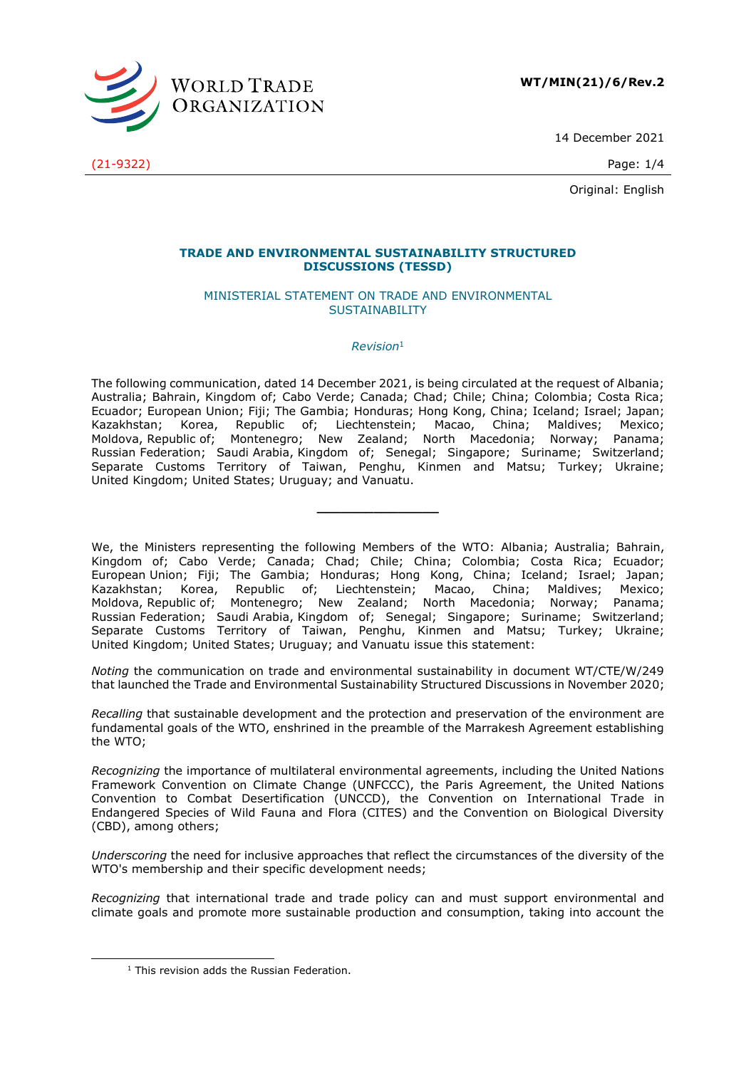

14 December 2021

(21-9322) Page: 1/4

Original: English

### **TRADE AND ENVIRONMENTAL SUSTAINABILITY STRUCTURED DISCUSSIONS (TESSD)**

#### MINISTERIAL STATEMENT ON TRADE AND ENVIRONMENTAL SUSTAINABILITY

## *Revision* 1

The following communication, dated 14 December 2021, is being circulated at the request of Albania; Australia; Bahrain, Kingdom of; Cabo Verde; Canada; Chad; Chile; China; Colombia; Costa Rica; Ecuador; European Union; Fiji; The Gambia; Honduras; Hong Kong, China; Iceland; Israel; Japan; Kazakhstan; Korea, Republic of; Liechtenstein; Macao, China; Maldives; Mexico; Moldova, Republic of; Montenegro; New Zealand; North Macedonia; Norway; Panama; Russian Federation; Saudi Arabia, Kingdom of; Senegal; Singapore; Suriname; Switzerland; Separate Customs Territory of Taiwan, Penghu, Kinmen and Matsu; Turkey; Ukraine; United Kingdom; United States; Uruguay; and Vanuatu.

**\_\_\_\_\_\_\_\_\_\_\_\_\_\_\_**

We, the Ministers representing the following Members of the WTO: Albania; Australia; Bahrain, Kingdom of; Cabo Verde; Canada; Chad; Chile; China; Colombia; Costa Rica; Ecuador; European Union; Fiji; The Gambia; Honduras; Hong Kong, China; Iceland; Israel; Japan; Kazakhstan; Korea, Republic of; Liechtenstein; Macao, China; Maldives; Mexico; Moldova, Republic of; Montenegro; New Zealand; North Macedonia; Norway; Panama; Russian Federation; Saudi Arabia, Kingdom of; Senegal; Singapore; Suriname; Switzerland; Separate Customs Territory of Taiwan, Penghu, Kinmen and Matsu; Turkey; Ukraine; United Kingdom; United States; Uruguay; and Vanuatu issue this statement:

*Noting* the communication on trade and environmental sustainability in document WT/CTE/W/249 that launched the Trade and Environmental Sustainability Structured Discussions in November 2020;

*Recalling* that sustainable development and the protection and preservation of the environment are fundamental goals of the WTO, enshrined in the preamble of the Marrakesh Agreement establishing the WTO;

*Recognizing* the importance of multilateral environmental agreements, including the United Nations Framework Convention on Climate Change (UNFCCC), the Paris Agreement, the United Nations Convention to Combat Desertification (UNCCD), the Convention on International Trade in Endangered Species of Wild Fauna and Flora (CITES) and the Convention on Biological Diversity (CBD), among others;

*Underscoring* the need for inclusive approaches that reflect the circumstances of the diversity of the WTO's membership and their specific development needs;

*Recognizing* that international trade and trade policy can and must support environmental and climate goals and promote more sustainable production and consumption, taking into account the

<sup>&</sup>lt;sup>1</sup> This revision adds the Russian Federation.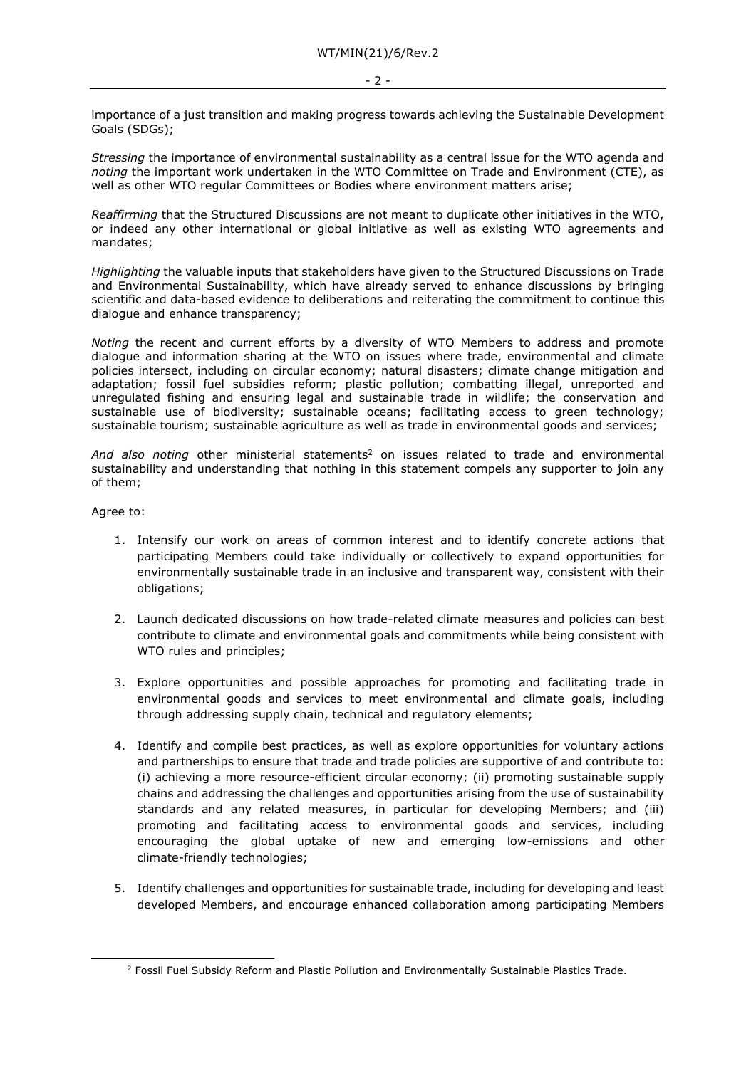importance of a just transition and making progress towards achieving the Sustainable Development Goals (SDGs);

*Stressing* the importance of environmental sustainability as a central issue for the WTO agenda and *noting* the important work undertaken in the WTO Committee on Trade and Environment (CTE), as well as other WTO regular Committees or Bodies where environment matters arise;

*Reaffirming* that the Structured Discussions are not meant to duplicate other initiatives in the WTO, or indeed any other international or global initiative as well as existing WTO agreements and mandates;

*Highlighting* the valuable inputs that stakeholders have given to the Structured Discussions on Trade and Environmental Sustainability, which have already served to enhance discussions by bringing scientific and data-based evidence to deliberations and reiterating the commitment to continue this dialogue and enhance transparency;

*Noting* the recent and current efforts by a diversity of WTO Members to address and promote dialogue and information sharing at the WTO on issues where trade, environmental and climate policies intersect, including on circular economy; natural disasters; climate change mitigation and adaptation; fossil fuel subsidies reform; plastic pollution; combatting illegal, unreported and unregulated fishing and ensuring legal and sustainable trade in wildlife; the conservation and sustainable use of biodiversity; sustainable oceans; facilitating access to green technology; sustainable tourism; sustainable agriculture as well as trade in environmental goods and services;

And also noting other ministerial statements<sup>2</sup> on issues related to trade and environmental sustainability and understanding that nothing in this statement compels any supporter to join any of them;

Agree to:

- 1. Intensify our work on areas of common interest and to identify concrete actions that participating Members could take individually or collectively to expand opportunities for environmentally sustainable trade in an inclusive and transparent way, consistent with their obligations;
- 2. Launch dedicated discussions on how trade-related climate measures and policies can best contribute to climate and environmental goals and commitments while being consistent with WTO rules and principles;
- 3. Explore opportunities and possible approaches for promoting and facilitating trade in environmental goods and services to meet environmental and climate goals, including through addressing supply chain, technical and regulatory elements;
- 4. Identify and compile best practices, as well as explore opportunities for voluntary actions and partnerships to ensure that trade and trade policies are supportive of and contribute to: (i) achieving a more resource-efficient circular economy; (ii) promoting sustainable supply chains and addressing the challenges and opportunities arising from the use of sustainability standards and any related measures, in particular for developing Members; and (iii) promoting and facilitating access to environmental goods and services, including encouraging the global uptake of new and emerging low-emissions and other climate-friendly technologies;
- 5. Identify challenges and opportunities for sustainable trade, including for developing and least developed Members, and encourage enhanced collaboration among participating Members

<sup>&</sup>lt;sup>2</sup> Fossil Fuel Subsidy Reform and Plastic Pollution and Environmentally Sustainable Plastics Trade.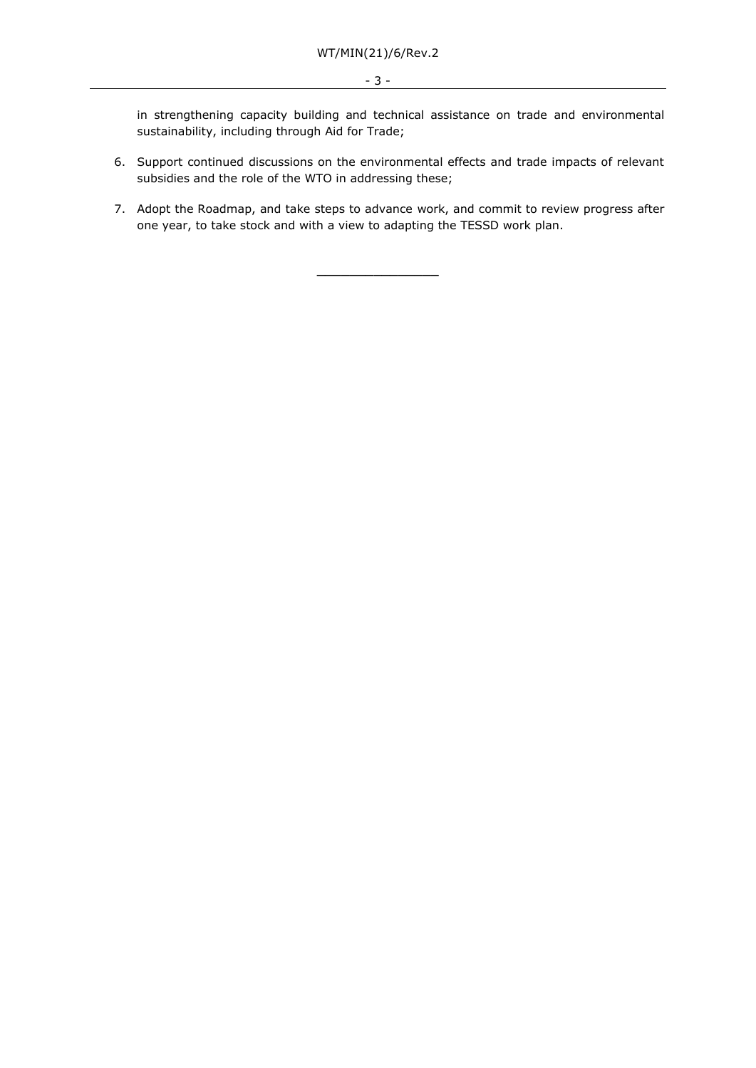in strengthening capacity building and technical assistance on trade and environmental sustainability, including through Aid for Trade;

- 6. Support continued discussions on the environmental effects and trade impacts of relevant subsidies and the role of the WTO in addressing these;
- 7. Adopt the Roadmap, and take steps to advance work, and commit to review progress after one year, to take stock and with a view to adapting the TESSD work plan.

**\_\_\_\_\_\_\_\_\_\_\_\_\_\_\_**